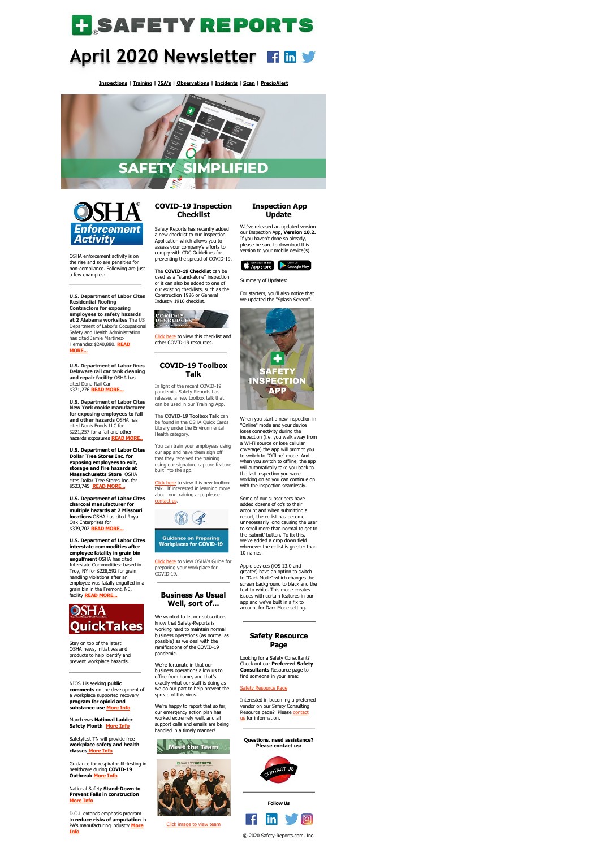# **H**SAFETYREPORTS

## **April 2020 Newsletter**

**[Inspections](https://www.safety-reports.com/safety-inspection/) | [Training](https://www.safety-reports.com/safety-training/) | [JSA's](https://www.safety-reports.com/jsa/) | [Observations](https://www.safety-reports.com/safety-observation-app/) | [Incidents](https://www.safety-reports.com/safety-incident-app/) | [Scan](https://www.safety-reports.com/sr-scan-app/) | [PrecipAlert](https://www.safety-reports.com/precipalert/)**





OSHA enforcement activity is on the rise and so are penalties for non-compliance. Following are just a few examples:

**U.S. Department of Labor Cites Residential Roofing Contractors for exposing employees to safety hazards at 2 Alabama worksites** The US Department of Labor's Occupational Safety and Health Administration has cited Jamie Martinez-[Hernandez \\$240,880.](https://www.safety-reports.com/blog/april-enforcement/#alabama) **READ MORE...**

**U.S. Department of Labor fines Delaware rail car tank cleaning and repair facility** OSHA has cited Dana Rail Car \$371,276 **[READ MORE...](https://www.safety-reports.com/blog/april-enforcement/#delaware)**

**U.S. Department of Labor Cites New York cookie manufacturer for exposing employees to fall and other hazards** OSHA has cited Nonis Foods LLC for \$221,257 for a fall and other hazards exposures **[READ MORE..](https://www.safety-reports.com/blog/april-enforcement/#newyork)**

#### **U.S. Department of Labor Cites**

**Dollar Tree Stores Inc. for exposing employees to exit, storage and fire hazards at Massachusetts Store** OSHA cites Dollar Tree Stores Inc. for \$523,745 **[READ MORE...](https://www.safety-reports.com/blog/april-enforcement/#massachusetts)**

**U.S. Department of Labor Cites charcoal manufacturer for multiple hazards at 2 Missouri locations** OSHA has cited Royal Oak Enterprises for \$339,702 **[READ MORE...](https://www.safety-reports.com/blog/april-enforcement/#missouri)**

[Click here](https://www.safety-reports.com/blog/covid-19-update/) to view this checklist and other COVID-19 resources.

**U.S. Department of Labor Cites interstate commodities after employee fatality in grain bin engulfment** OSHA has cited Interstate Commodities- based in Troy, NY for \$228,592 for grain handling violations after an employee was fatally engulfed in a grain bin in the Fremont, NE, facility **[READ MORE...](https://www.safety-reports.com/blog/april-enforcement/#nebraska)**

## **OSHA QuickTakes**

Stay on top of the latest OSHA news, initiatives and products to help identify and prevent workplace hazards.

[Click here](https://www.safety-reports.com/blog/covid-19-toolbox-talks/) to view this new toolbox talk. If interested in learning more about our training app, please [contact us](http://safety-reports.com/contact-us).



**Guidance on Preparing Workplaces for COVID-19** 

NIOSH is seeking **public comments** on the development of a workplace supported recovery **program for opioid and substance use [More Info](https://www.safety-reports.com/blog/april-quicktakes/#opiod)**

March was **[National Ladde](https://www.safety-reports.com/blog/august-newsletter-quicktakes/#laborsecretary)r Safety Month [More Info](https://www.safety-reports.com/blog/april-quicktakes/#ladder)**

Safetyfest TN will provide free **workplace safety and health classe[s](https://www.safety-reports.com/blog/april-quicktakes/#safetyfest) [More Info](https://www.safety-reports.com/blog/april-quicktakes/#safetyfest)**

Guidance for respirator fit-testing in healthcare during **COVID-19 Outbreak [More Info](https://www.safety-reports.com/blog/april-quicktakes/#virus)**

National Safety **Stand-Down to Prevent Falls in construction [More Info](https://www.safety-reports.com/blog/april-quicktakes/#stand-down)**

D.O.L extends emphasis program to **reduce risks of amputation** in [PA's manufacturing industry](https://www.safety-reports.com/blog/april-quicktakes/#amputation) **More Info**

### **COVID-19 Inspection Checklist**

Safety Reports has recently added a new checklist to our Inspection Application which allows you to assess your company's efforts to comply with CDC Guidelines for preventing the spread of COVID-19.

The **COVID-19 Checklist** can be used as a "stand-alone" inspection or it can also be added to one of our existing checklists, such as the Construction 1926 or General Industry 1910 checklist.



### **COVID-19 Toolbox Talk**

Interested in becoming a preferred vendor on our Safety Consulting [Resource page? Please contact](http://safety-reports.com/contact-us) us for information.

In light of the recent COVID-19 pandemic, Safety Reports has released a new toolbox talk that can be used in our Training App.

The **COVID-19 Toolbox Talk** can be found in the OSHA Quick Cards Library under the Environmental Health category.

You can train your employees using our app and have them sign off that they received the training using our signature capture feature built into the app.

[Click here](https://www.osha.gov/Publications/OSHA3990.pdf) to view OSHA's Guide for preparing your workplace for COVID-19.

### **Business As Usual Well, sort of...**

We wanted to let our subscribers know that Safety-Reports is working hard to maintain normal business operations (as normal as possible) as we deal with the ramifications of the COVID-19 pandemic.

### We're fortunate in that our

business operations allow us to office from home, and that's exactly what our staff is doing as we do our part to help prevent the spread of this virus.

We're happy to report that so far, our emergency action plan has worked extremely well, and all support calls and emails are being handled in a timely manner!





[Click image to view team](https://www.safety-reports.com/about/)

### **Inspection App Update**

We've released an updated version our Inspection App, **Version 10.2.** If you haven't done so already, please be sure to download this version to your mobile device(s).



Summary of Updates:

For starters, you'll also notice that we updated the "Splash Screen".



When you start a new inspection in "Online" mode and your device loses connectivity during the inspection (i.e. you walk away from a Wi-Fi source or lose cellular coverage) the app will prompt you

to switch to "Offline" mode. And when you switch to offline, the app will automatically take you back to the last inspection you were working on so you can continue on with the inspection seamlessly.

Some of our subscribers have added dozens of cc's to their account and when submitting a report, the cc list has become unnecessarily long causing the user to scroll more than normal to get to the 'submit' button. To fix this, we've added a drop down field whenever the cc list is greater than 10 names.

Apple devices (iOS 13.0 and greater) have an option to switch to "Dark Mode" which changes the screen background to black and the text to white. This mode creates issues with certain features in our app and we've built in a fix to account for Dark Mode setting.

### **Safety Resource Page**

Looking for a Safety Consultant? Check out our **Preferred Safety Consultants** Resource page to find someone in your area:

### [Safety Resource Page](https://www.safety-reports.com/safetyresources/)

**Questions, need assistance? Please contact us:**



**Follow Us**

© 2020 Safety-Reports.com, Inc.